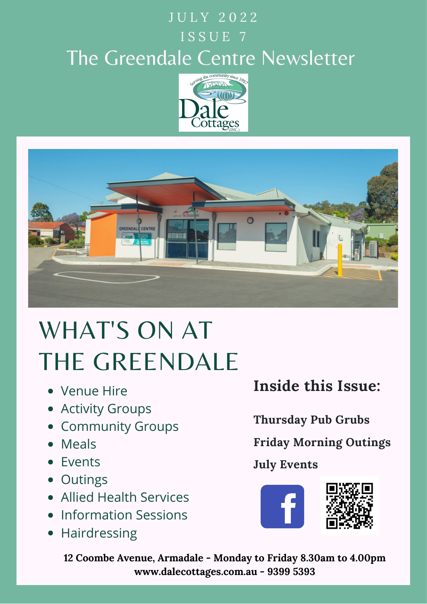## J U L Y 2022 ISSUE 7 The Greendale Centre Newsletter





# WHAT'S ON AT THE GREENDALE

- Venue Hire
- Activity Groups
- **Community Groups**
- Meals
- Events
- Outings
- Allied Health Services
- Information Sessions
- Hairdressing

**Inside this Issue:**

**Thursday Pub Grubs**

**Friday Morning Outings**

### **July Events**



**12 Coombe Avenue, Armadale - Monday to Friday 8.30am to 4.00pm www.dalecottages.com.au - 9399 5393**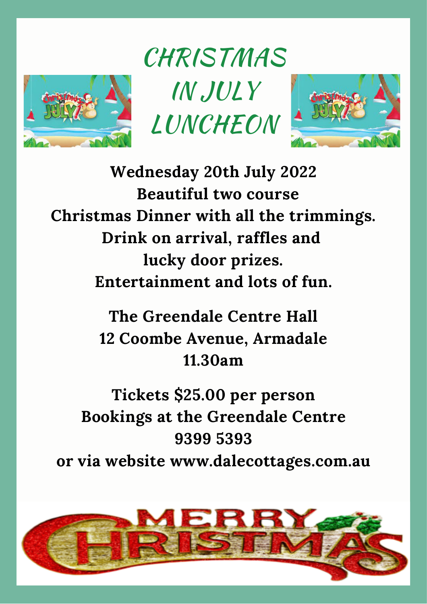

**CHRISTMAS** IN JULY LUNCHEON



**Wednesday 20th July 2022 Beautiful two course Christmas Dinner with all the trimmings. Drink on arrival, raffles and lucky door prizes. Entertainment and lots of fun.**

> **The Greendale Centre Hall 12 Coombe Avenue, Armadale 11.30am**

**Tickets \$25.00 per person Bookings at the Greendale Centre 9399 5393 or via website www.dalecottages.com.au**

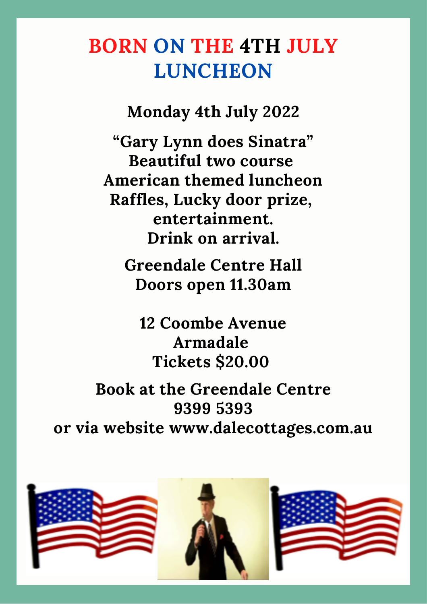## **BORN ON THE 4TH JULY LUNCHEON**

**Monday 4th July 2022**

**"Gary Lynn does Sinatra" Beautiful two course American themed luncheon Raffles, Lucky door prize, entertainment. Drink on arrival.**

**Greendale Centre Hall Doors open 11.30am**

**12 Coombe Avenue Armadale Tickets \$20.00**

**Book at the Greendale Centre 9399 5393 or via website www.dalecottages.com.au**

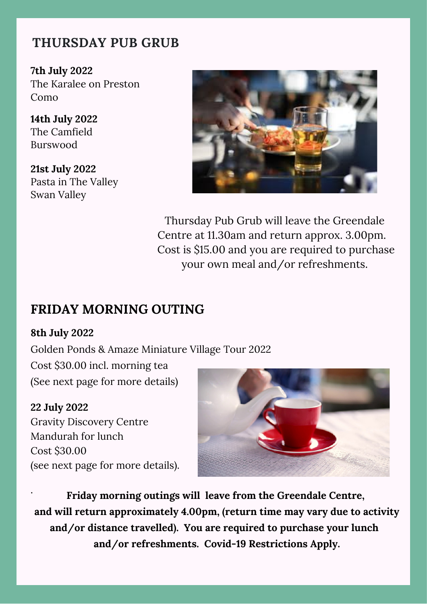#### **THURSDAY PUB GRUB**

**7th July 2022** The Karalee on Preston Como

**14th July 2022** The Camfield Burswood

**21st July 2022** Pasta in The Valley Swan Valley



Thursday Pub Grub will leave the Greendale Centre at 11.30am and return approx. 3.00pm. Cost is \$15.00 and you are required to purchase your own meal and/or refreshments.

#### **FRIDAY MORNING OUTING**

#### **8th July 2022**

Golden Ponds & Amaze Miniature Village Tour 2022

Cost \$30.00 incl. morning tea (See next page for more details)

#### **22 July 2022**

Gravity Discovery Centre Mandurah for lunch Cost \$30.00 (see next page for more details).



. **Friday morning outings will leave from the Greendale Centre, and will return approximately 4.00pm, (return time may vary due to activity and/or distance travelled). You are required to purchase your lunch and/or refreshments. Covid-19 Restrictions Apply.**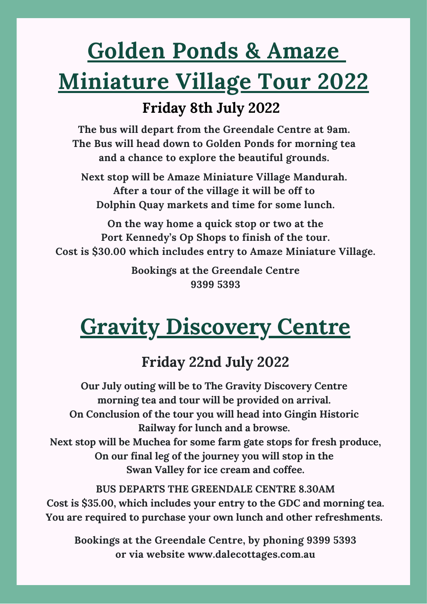# **Golden Ponds & Amaze Miniature Village Tour 2022**

### **Friday 8th July 2022**

**The bus will depart from the Greendale Centre at 9am. The Bus will head down to Golden Ponds for morning tea and a chance to explore the beautiful grounds.**

**Next stop will be Amaze Miniature Village Mandurah. After a tour of the village it will be off to Dolphin Quay markets and time for some lunch.**

**On the way home a quick stop or two at the Port Kennedy's Op Shops to finish of the tour. Cost is \$30.00 which includes entry to Amaze Miniature Village.**

> **Bookings at the Greendale Centre 9399 5393**

# **Gravity Discovery Centre**

### **Friday 22nd July 2022**

**Our July outing will be to The Gravity Discovery Centre morning tea and tour will be provided on arrival. On Conclusion of the tour you will head into Gingin Historic Railway for lunch and a browse. Next stop will be Muchea for some farm gate stops for fresh produce, On our final leg of the journey you will stop in the Swan Valley for ice cream and coffee.**

**BUS DEPARTS THE GREENDALE CENTRE 8.30AM Cost is \$35.00, which includes your entry to the GDC and morning tea. You are required to purchase your own lunch and other refreshments.**

**Bookings at the Greendale Centre, by phoning 9399 5393 or via website www.dalecottages.com.au**